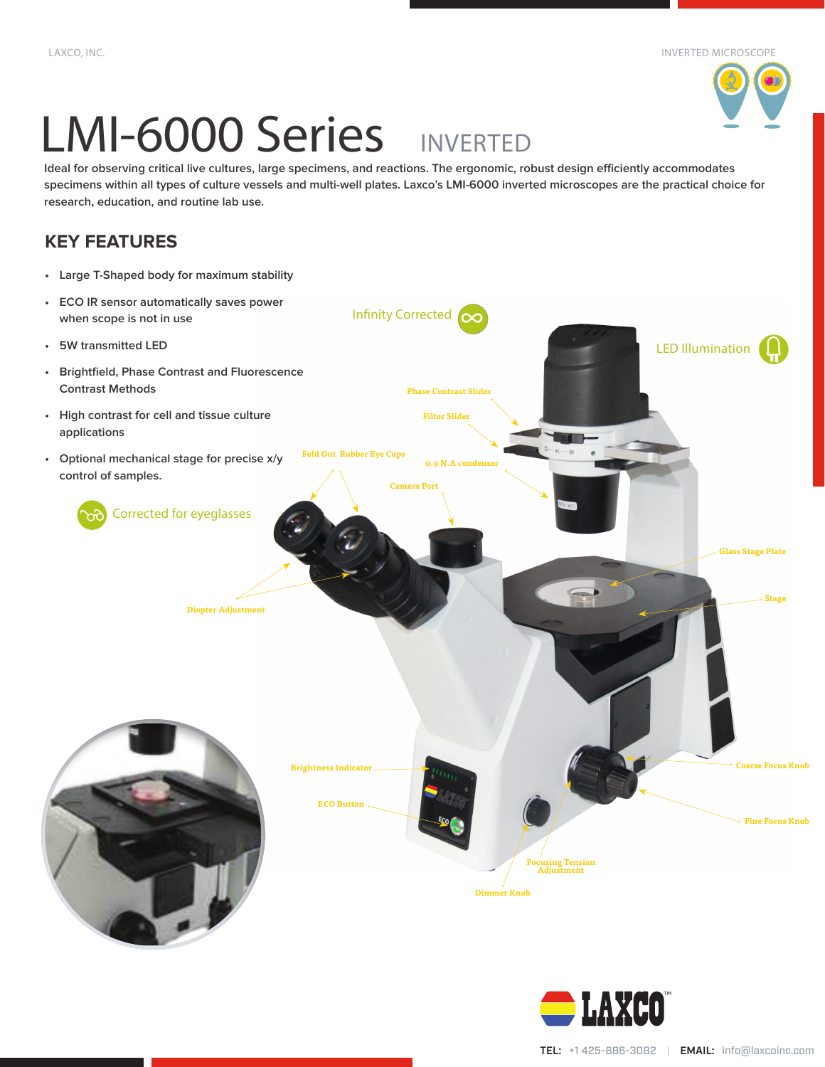# LMI-6000 Series INVERTED

**Ideal for observing critical live cultures, large specimens, and reactions. The ergonomic, robust design efficiently accommodates specimens within all types of culture vessels and multi-well plates. Laxco's LMI-6000 inverted microscopes are the practical choice for research, education, and routine lab use.**

## **KEY FEATURES**

- **• Large T-Shaped body for maximum stability**
- **• ECO IR sensor automatically saves power when scope is not in use**
- **• 5W transmitted LED**
- **• Brightfield, Phase Contrast and Fluorescence Contrast Methods**
- **• High contrast for cell and tissue culture applications**
- **• Optional mechanical stage for precise x/y control of samples.**
	- Corrected for eyeglasses

**Diopter Adjustment**

Infinity Corrected ∞ **0.9 N.A condense Phase Contrast Slider Filter Slider** LED Illumination



**Brightness Indicator ECO Button**

**Fold Out Rubber Eye Cups**

**Camera Port**



**Focusing Tension Adjustment**

**Dimmer Knob**

**Coarse Focus Knob**

**Glass Stage Plate**

**Stage**

**Fine Focus Knob**